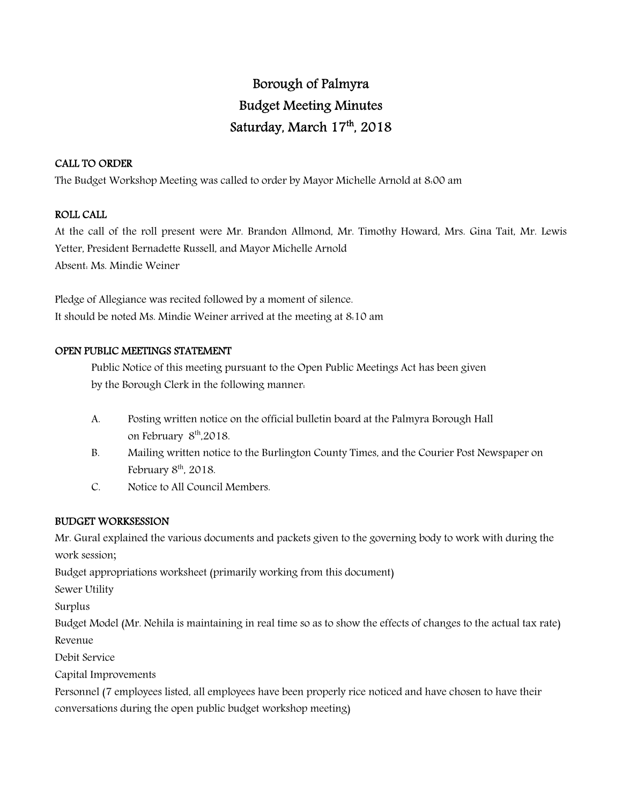# Borough of Palmyra Budget Meeting Minutes Saturday, March 17 th, 2018

## CALL TO ORDER

The Budget Workshop Meeting was called to order by Mayor Michelle Arnold at 8:00 am

## ROLL CALL

At the call of the roll present were Mr. Brandon Allmond, Mr. Timothy Howard, Mrs. Gina Tait, Mr. Lewis Yetter, President Bernadette Russell, and Mayor Michelle Arnold Absent: Ms. Mindie Weiner

Pledge of Allegiance was recited followed by a moment of silence. It should be noted Ms. Mindie Weiner arrived at the meeting at 8:10 am

## OPEN PUBLIC MEETINGS STATEMENT

 Public Notice of this meeting pursuant to the Open Public Meetings Act has been given by the Borough Clerk in the following manner:

- A. Posting written notice on the official bulletin board at the Palmyra Borough Hall on February  $8<sup>th</sup>$ ,2018.
- B. Mailing written notice to the Burlington County Times, and the Courier Post Newspaper on February  $8<sup>th</sup>$ , 2018.
- C. Notice to All Council Members.

## BUDGET WORKSESSION

Mr. Gural explained the various documents and packets given to the governing body to work with during the work session;

Budget appropriations worksheet (primarily working from this document)

Sewer Utility

Surplus

Budget Model (Mr. Nehila is maintaining in real time so as to show the effects of changes to the actual tax rate) Revenue

Debit Service

Capital Improvements

Personnel (7 employees listed, all employees have been properly rice noticed and have chosen to have their conversations during the open public budget workshop meeting)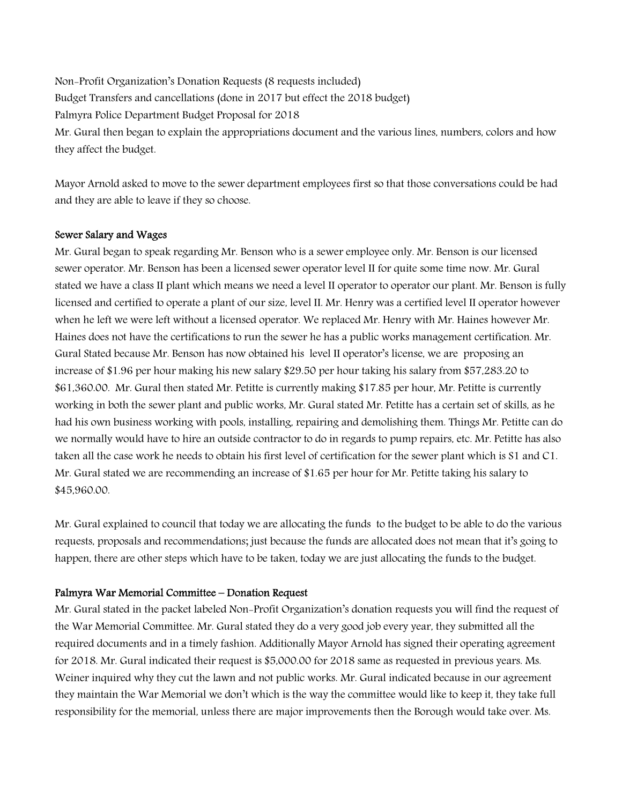Non-Profit Organization's Donation Requests (8 requests included) Budget Transfers and cancellations (done in 2017 but effect the 2018 budget) Palmyra Police Department Budget Proposal for 2018 Mr. Gural then began to explain the appropriations document and the various lines, numbers, colors and how they affect the budget.

Mayor Arnold asked to move to the sewer department employees first so that those conversations could be had and they are able to leave if they so choose.

## Sewer Salary and Wages

Mr. Gural began to speak regarding Mr. Benson who is a sewer employee only. Mr. Benson is our licensed sewer operator. Mr. Benson has been a licensed sewer operator level II for quite some time now. Mr. Gural stated we have a class II plant which means we need a level II operator to operator our plant. Mr. Benson is fully licensed and certified to operate a plant of our size, level II. Mr. Henry was a certified level II operator however when he left we were left without a licensed operator. We replaced Mr. Henry with Mr. Haines however Mr. Haines does not have the certifications to run the sewer he has a public works management certification. Mr. Gural Stated because Mr. Benson has now obtained his level II operator's license, we are proposing an increase of \$1.96 per hour making his new salary \$29.50 per hour taking his salary from \$57,283.20 to \$61,360.00. Mr. Gural then stated Mr. Petitte is currently making \$17.85 per hour, Mr. Petitte is currently working in both the sewer plant and public works, Mr. Gural stated Mr. Petitte has a certain set of skills, as he had his own business working with pools, installing, repairing and demolishing them. Things Mr. Petitte can do we normally would have to hire an outside contractor to do in regards to pump repairs, etc. Mr. Petitte has also taken all the case work he needs to obtain his first level of certification for the sewer plant which is S1 and C1. Mr. Gural stated we are recommending an increase of \$1.65 per hour for Mr. Petitte taking his salary to \$45,960.00.

Mr. Gural explained to council that today we are allocating the funds to the budget to be able to do the various requests, proposals and recommendations; just because the funds are allocated does not mean that it's going to happen, there are other steps which have to be taken, today we are just allocating the funds to the budget.

#### Palmyra War Memorial Committee – Donation Request

Mr. Gural stated in the packet labeled Non-Profit Organization's donation requests you will find the request of the War Memorial Committee. Mr. Gural stated they do a very good job every year, they submitted all the required documents and in a timely fashion. Additionally Mayor Arnold has signed their operating agreement for 2018. Mr. Gural indicated their request is \$5,000.00 for 2018 same as requested in previous years. Ms. Weiner inquired why they cut the lawn and not public works. Mr. Gural indicated because in our agreement they maintain the War Memorial we don't which is the way the committee would like to keep it, they take full responsibility for the memorial, unless there are major improvements then the Borough would take over. Ms.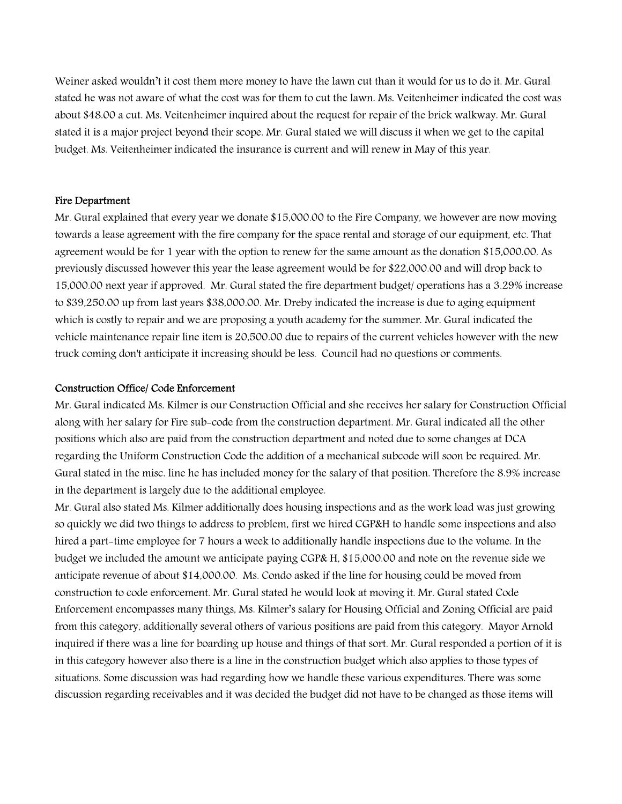Weiner asked wouldn't it cost them more money to have the lawn cut than it would for us to do it. Mr. Gural stated he was not aware of what the cost was for them to cut the lawn. Ms. Veitenheimer indicated the cost was about \$48.00 a cut. Ms. Veitenheimer inquired about the request for repair of the brick walkway. Mr. Gural stated it is a major project beyond their scope. Mr. Gural stated we will discuss it when we get to the capital budget. Ms. Veitenheimer indicated the insurance is current and will renew in May of this year.

#### Fire Department

Mr. Gural explained that every year we donate \$15,000.00 to the Fire Company, we however are now moving towards a lease agreement with the fire company for the space rental and storage of our equipment, etc. That agreement would be for 1 year with the option to renew for the same amount as the donation \$15,000.00. As previously discussed however this year the lease agreement would be for \$22,000.00 and will drop back to 15,000.00 next year if approved. Mr. Gural stated the fire department budget/ operations has a 3.29% increase to \$39,250.00 up from last years \$38,000.00. Mr. Dreby indicated the increase is due to aging equipment which is costly to repair and we are proposing a youth academy for the summer. Mr. Gural indicated the vehicle maintenance repair line item is 20,500.00 due to repairs of the current vehicles however with the new truck coming don't anticipate it increasing should be less. Council had no questions or comments.

#### Construction Office/ Code Enforcement

Mr. Gural indicated Ms. Kilmer is our Construction Official and she receives her salary for Construction Official along with her salary for Fire sub-code from the construction department. Mr. Gural indicated all the other positions which also are paid from the construction department and noted due to some changes at DCA regarding the Uniform Construction Code the addition of a mechanical subcode will soon be required. Mr. Gural stated in the misc. line he has included money for the salary of that position. Therefore the 8.9% increase in the department is largely due to the additional employee.

Mr. Gural also stated Ms. Kilmer additionally does housing inspections and as the work load was just growing so quickly we did two things to address to problem, first we hired CGP&H to handle some inspections and also hired a part-time employee for 7 hours a week to additionally handle inspections due to the volume. In the budget we included the amount we anticipate paying CGP& H, \$15,000.00 and note on the revenue side we anticipate revenue of about \$14,000.00. Ms. Condo asked if the line for housing could be moved from construction to code enforcement. Mr. Gural stated he would look at moving it. Mr. Gural stated Code Enforcement encompasses many things, Ms. Kilmer's salary for Housing Official and Zoning Official are paid from this category, additionally several others of various positions are paid from this category. Mayor Arnold inquired if there was a line for boarding up house and things of that sort. Mr. Gural responded a portion of it is in this category however also there is a line in the construction budget which also applies to those types of situations. Some discussion was had regarding how we handle these various expenditures. There was some discussion regarding receivables and it was decided the budget did not have to be changed as those items will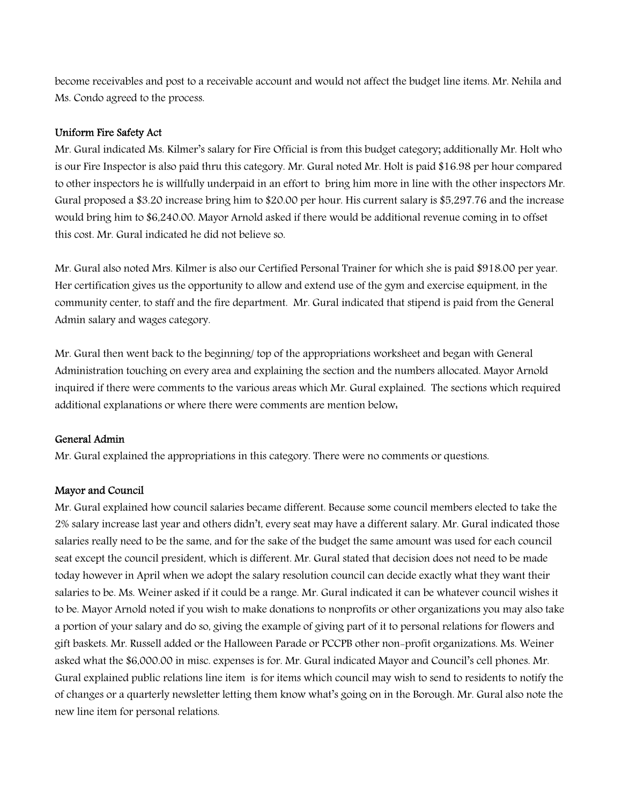become receivables and post to a receivable account and would not affect the budget line items. Mr. Nehila and Ms. Condo agreed to the process.

#### Uniform Fire Safety Act

Mr. Gural indicated Ms. Kilmer's salary for Fire Official is from this budget category; additionally Mr. Holt who is our Fire Inspector is also paid thru this category. Mr. Gural noted Mr. Holt is paid \$16.98 per hour compared to other inspectors he is willfully underpaid in an effort to bring him more in line with the other inspectors Mr. Gural proposed a \$3.20 increase bring him to \$20.00 per hour. His current salary is \$5,297.76 and the increase would bring him to \$6,240.00. Mayor Arnold asked if there would be additional revenue coming in to offset this cost. Mr. Gural indicated he did not believe so.

Mr. Gural also noted Mrs. Kilmer is also our Certified Personal Trainer for which she is paid \$918.00 per year. Her certification gives us the opportunity to allow and extend use of the gym and exercise equipment, in the community center, to staff and the fire department. Mr. Gural indicated that stipend is paid from the General Admin salary and wages category.

Mr. Gural then went back to the beginning/ top of the appropriations worksheet and began with General Administration touching on every area and explaining the section and the numbers allocated. Mayor Arnold inquired if there were comments to the various areas which Mr. Gural explained. The sections which required additional explanations or where there were comments are mention below:

## General Admin

Mr. Gural explained the appropriations in this category. There were no comments or questions.

#### Mayor and Council

Mr. Gural explained how council salaries became different. Because some council members elected to take the 2% salary increase last year and others didn't, every seat may have a different salary. Mr. Gural indicated those salaries really need to be the same, and for the sake of the budget the same amount was used for each council seat except the council president, which is different. Mr. Gural stated that decision does not need to be made today however in April when we adopt the salary resolution council can decide exactly what they want their salaries to be. Ms. Weiner asked if it could be a range. Mr. Gural indicated it can be whatever council wishes it to be. Mayor Arnold noted if you wish to make donations to nonprofits or other organizations you may also take a portion of your salary and do so, giving the example of giving part of it to personal relations for flowers and gift baskets. Mr. Russell added or the Halloween Parade or PCCPB other non-profit organizations. Ms. Weiner asked what the \$6,000.00 in misc. expenses is for. Mr. Gural indicated Mayor and Council's cell phones. Mr. Gural explained public relations line item is for items which council may wish to send to residents to notify the of changes or a quarterly newsletter letting them know what's going on in the Borough. Mr. Gural also note the new line item for personal relations.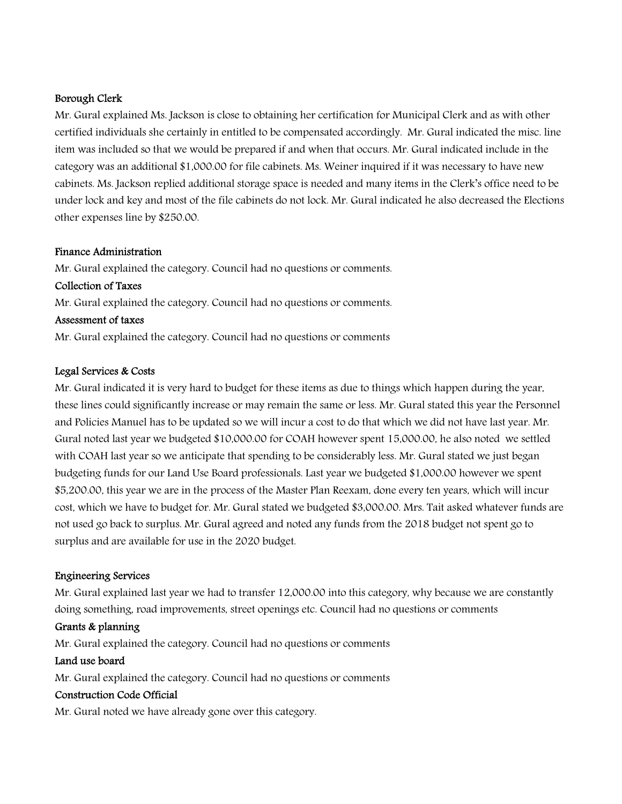## Borough Clerk

Mr. Gural explained Ms. Jackson is close to obtaining her certification for Municipal Clerk and as with other certified individuals she certainly in entitled to be compensated accordingly. Mr. Gural indicated the misc. line item was included so that we would be prepared if and when that occurs. Mr. Gural indicated include in the category was an additional \$1,000.00 for file cabinets. Ms. Weiner inquired if it was necessary to have new cabinets. Ms. Jackson replied additional storage space is needed and many items in the Clerk's office need to be under lock and key and most of the file cabinets do not lock. Mr. Gural indicated he also decreased the Elections other expenses line by \$250.00.

## Finance Administration

Mr. Gural explained the category. Council had no questions or comments. Collection of Taxes Mr. Gural explained the category. Council had no questions or comments. Assessment of taxes Mr. Gural explained the category. Council had no questions or comments

#### Legal Services & Costs

Mr. Gural indicated it is very hard to budget for these items as due to things which happen during the year, these lines could significantly increase or may remain the same or less. Mr. Gural stated this year the Personnel and Policies Manuel has to be updated so we will incur a cost to do that which we did not have last year. Mr. Gural noted last year we budgeted \$10,000.00 for COAH however spent 15,000.00, he also noted we settled with COAH last year so we anticipate that spending to be considerably less. Mr. Gural stated we just began budgeting funds for our Land Use Board professionals. Last year we budgeted \$1,000.00 however we spent \$5,200.00, this year we are in the process of the Master Plan Reexam, done every ten years, which will incur cost, which we have to budget for. Mr. Gural stated we budgeted \$3,000.00. Mrs. Tait asked whatever funds are not used go back to surplus. Mr. Gural agreed and noted any funds from the 2018 budget not spent go to surplus and are available for use in the 2020 budget.

## Engineering Services

Mr. Gural explained last year we had to transfer 12,000.00 into this category, why because we are constantly doing something, road improvements, street openings etc. Council had no questions or comments

#### Grants & planning

Mr. Gural explained the category. Council had no questions or comments

## Land use board

Mr. Gural explained the category. Council had no questions or comments

## Construction Code Official

Mr. Gural noted we have already gone over this category.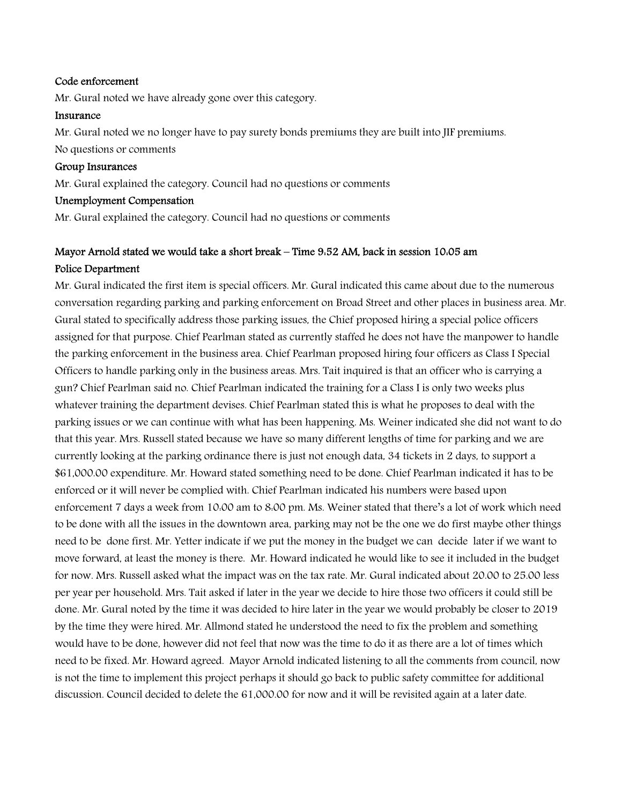#### Code enforcement

Mr. Gural noted we have already gone over this category.

#### Insurance

Mr. Gural noted we no longer have to pay surety bonds premiums they are built into JIF premiums. No questions or comments

#### Group Insurances

Mr. Gural explained the category. Council had no questions or comments

## Unemployment Compensation

Mr. Gural explained the category. Council had no questions or comments

# Mayor Arnold stated we would take a short break – Time 9:52 AM, back in session 10:05 am Police Department

Mr. Gural indicated the first item is special officers. Mr. Gural indicated this came about due to the numerous conversation regarding parking and parking enforcement on Broad Street and other places in business area. Mr. Gural stated to specifically address those parking issues, the Chief proposed hiring a special police officers assigned for that purpose. Chief Pearlman stated as currently staffed he does not have the manpower to handle the parking enforcement in the business area. Chief Pearlman proposed hiring four officers as Class I Special Officers to handle parking only in the business areas. Mrs. Tait inquired is that an officer who is carrying a gun? Chief Pearlman said no. Chief Pearlman indicated the training for a Class I is only two weeks plus whatever training the department devises. Chief Pearlman stated this is what he proposes to deal with the parking issues or we can continue with what has been happening. Ms. Weiner indicated she did not want to do that this year. Mrs. Russell stated because we have so many different lengths of time for parking and we are currently looking at the parking ordinance there is just not enough data, 34 tickets in 2 days, to support a \$61,000.00 expenditure. Mr. Howard stated something need to be done. Chief Pearlman indicated it has to be enforced or it will never be complied with. Chief Pearlman indicated his numbers were based upon enforcement 7 days a week from 10:00 am to 8:00 pm. Ms. Weiner stated that there's a lot of work which need to be done with all the issues in the downtown area, parking may not be the one we do first maybe other things need to be done first. Mr. Yetter indicate if we put the money in the budget we can decide later if we want to move forward, at least the money is there. Mr. Howard indicated he would like to see it included in the budget for now. Mrs. Russell asked what the impact was on the tax rate. Mr. Gural indicated about 20.00 to 25.00 less per year per household. Mrs. Tait asked if later in the year we decide to hire those two officers it could still be done. Mr. Gural noted by the time it was decided to hire later in the year we would probably be closer to 2019 by the time they were hired. Mr. Allmond stated he understood the need to fix the problem and something would have to be done, however did not feel that now was the time to do it as there are a lot of times which need to be fixed. Mr. Howard agreed. Mayor Arnold indicated listening to all the comments from council, now is not the time to implement this project perhaps it should go back to public safety committee for additional discussion. Council decided to delete the 61,000.00 for now and it will be revisited again at a later date.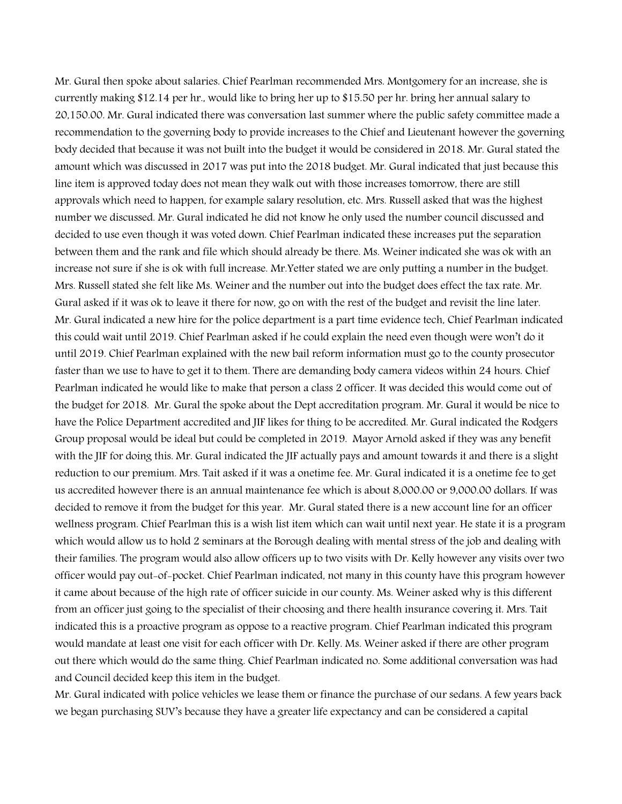Mr. Gural then spoke about salaries. Chief Pearlman recommended Mrs. Montgomery for an increase, she is currently making \$12.14 per hr., would like to bring her up to \$15.50 per hr. bring her annual salary to 20,150.00. Mr. Gural indicated there was conversation last summer where the public safety committee made a recommendation to the governing body to provide increases to the Chief and Lieutenant however the governing body decided that because it was not built into the budget it would be considered in 2018. Mr. Gural stated the amount which was discussed in 2017 was put into the 2018 budget. Mr. Gural indicated that just because this line item is approved today does not mean they walk out with those increases tomorrow, there are still approvals which need to happen, for example salary resolution, etc. Mrs. Russell asked that was the highest number we discussed. Mr. Gural indicated he did not know he only used the number council discussed and decided to use even though it was voted down. Chief Pearlman indicated these increases put the separation between them and the rank and file which should already be there. Ms. Weiner indicated she was ok with an increase not sure if she is ok with full increase. Mr.Yetter stated we are only putting a number in the budget. Mrs. Russell stated she felt like Ms. Weiner and the number out into the budget does effect the tax rate. Mr. Gural asked if it was ok to leave it there for now, go on with the rest of the budget and revisit the line later. Mr. Gural indicated a new hire for the police department is a part time evidence tech, Chief Pearlman indicated this could wait until 2019. Chief Pearlman asked if he could explain the need even though were won't do it until 2019. Chief Pearlman explained with the new bail reform information must go to the county prosecutor faster than we use to have to get it to them. There are demanding body camera videos within 24 hours. Chief Pearlman indicated he would like to make that person a class 2 officer. It was decided this would come out of the budget for 2018. Mr. Gural the spoke about the Dept accreditation program. Mr. Gural it would be nice to have the Police Department accredited and JIF likes for thing to be accredited. Mr. Gural indicated the Rodgers Group proposal would be ideal but could be completed in 2019. Mayor Arnold asked if they was any benefit with the JIF for doing this. Mr. Gural indicated the JIF actually pays and amount towards it and there is a slight reduction to our premium. Mrs. Tait asked if it was a onetime fee. Mr. Gural indicated it is a onetime fee to get us accredited however there is an annual maintenance fee which is about 8,000.00 or 9,000.00 dollars. If was decided to remove it from the budget for this year. Mr. Gural stated there is a new account line for an officer wellness program. Chief Pearlman this is a wish list item which can wait until next year. He state it is a program which would allow us to hold 2 seminars at the Borough dealing with mental stress of the job and dealing with their families. The program would also allow officers up to two visits with Dr. Kelly however any visits over two officer would pay out-of-pocket. Chief Pearlman indicated, not many in this county have this program however it came about because of the high rate of officer suicide in our county. Ms. Weiner asked why is this different from an officer just going to the specialist of their choosing and there health insurance covering it. Mrs. Tait indicated this is a proactive program as oppose to a reactive program. Chief Pearlman indicated this program would mandate at least one visit for each officer with Dr. Kelly. Ms. Weiner asked if there are other program out there which would do the same thing. Chief Pearlman indicated no. Some additional conversation was had and Council decided keep this item in the budget.

Mr. Gural indicated with police vehicles we lease them or finance the purchase of our sedans. A few years back we began purchasing SUV's because they have a greater life expectancy and can be considered a capital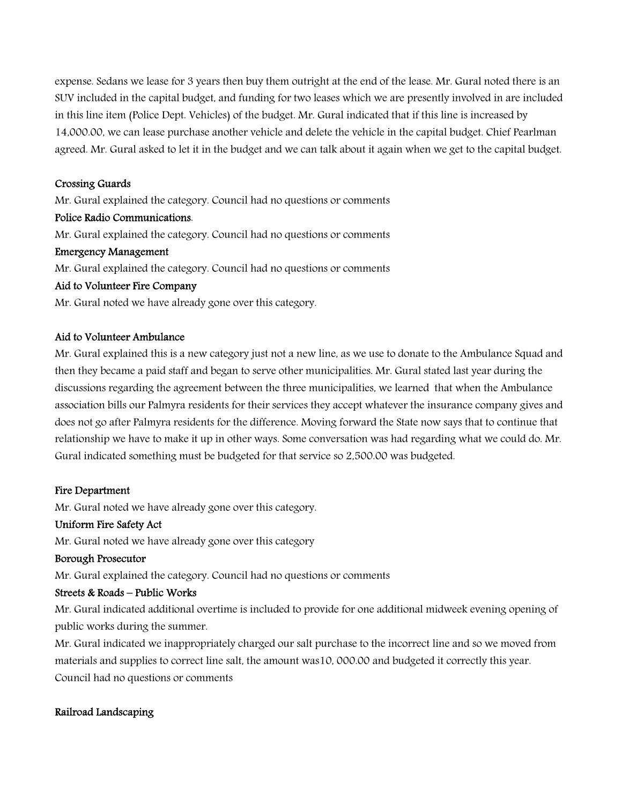expense. Sedans we lease for 3 years then buy them outright at the end of the lease. Mr. Gural noted there is an SUV included in the capital budget, and funding for two leases which we are presently involved in are included in this line item (Police Dept. Vehicles) of the budget. Mr. Gural indicated that if this line is increased by 14,000.00, we can lease purchase another vehicle and delete the vehicle in the capital budget. Chief Pearlman agreed. Mr. Gural asked to let it in the budget and we can talk about it again when we get to the capital budget.

## Crossing Guards

Mr. Gural explained the category. Council had no questions or comments

#### Police Radio Communications.

Mr. Gural explained the category. Council had no questions or comments

#### Emergency Management

Mr. Gural explained the category. Council had no questions or comments

#### Aid to Volunteer Fire Company

Mr. Gural noted we have already gone over this category.

## Aid to Volunteer Ambulance

Mr. Gural explained this is a new category just not a new line, as we use to donate to the Ambulance Squad and then they became a paid staff and began to serve other municipalities. Mr. Gural stated last year during the discussions regarding the agreement between the three municipalities, we learned that when the Ambulance association bills our Palmyra residents for their services they accept whatever the insurance company gives and does not go after Palmyra residents for the difference. Moving forward the State now says that to continue that relationship we have to make it up in other ways. Some conversation was had regarding what we could do. Mr. Gural indicated something must be budgeted for that service so 2,500.00 was budgeted.

## Fire Department

Mr. Gural noted we have already gone over this category.

## Uniform Fire Safety Act

Mr. Gural noted we have already gone over this category

## Borough Prosecutor

Mr. Gural explained the category. Council had no questions or comments

## Streets & Roads – Public Works

Mr. Gural indicated additional overtime is included to provide for one additional midweek evening opening of public works during the summer.

Mr. Gural indicated we inappropriately charged our salt purchase to the incorrect line and so we moved from materials and supplies to correct line salt, the amount was10, 000.00 and budgeted it correctly this year. Council had no questions or comments

## Railroad Landscaping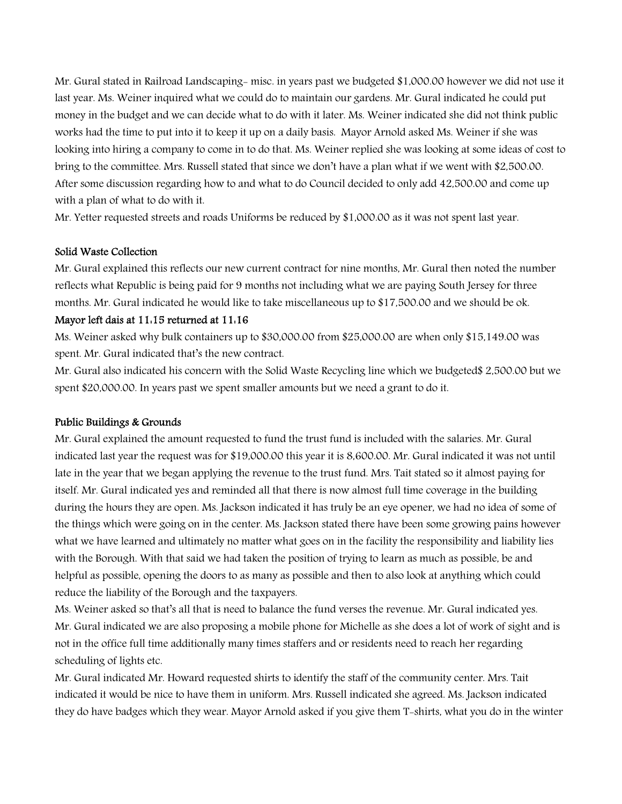Mr. Gural stated in Railroad Landscaping- misc. in years past we budgeted \$1,000.00 however we did not use it last year. Ms. Weiner inquired what we could do to maintain our gardens. Mr. Gural indicated he could put money in the budget and we can decide what to do with it later. Ms. Weiner indicated she did not think public works had the time to put into it to keep it up on a daily basis. Mayor Arnold asked Ms. Weiner if she was looking into hiring a company to come in to do that. Ms. Weiner replied she was looking at some ideas of cost to bring to the committee. Mrs. Russell stated that since we don't have a plan what if we went with \$2,500.00. After some discussion regarding how to and what to do Council decided to only add 42,500.00 and come up with a plan of what to do with it.

Mr. Yetter requested streets and roads Uniforms be reduced by \$1,000.00 as it was not spent last year.

## Solid Waste Collection

Mr. Gural explained this reflects our new current contract for nine months, Mr. Gural then noted the number reflects what Republic is being paid for 9 months not including what we are paying South Jersey for three months. Mr. Gural indicated he would like to take miscellaneous up to \$17,500.00 and we should be ok.

## Mayor left dais at 11:15 returned at 11:16

Ms. Weiner asked why bulk containers up to \$30,000.00 from \$25,000.00 are when only \$15,149.00 was spent. Mr. Gural indicated that's the new contract.

Mr. Gural also indicated his concern with the Solid Waste Recycling line which we budgeted\$ 2,500.00 but we spent \$20,000.00. In years past we spent smaller amounts but we need a grant to do it.

## Public Buildings & Grounds

Mr. Gural explained the amount requested to fund the trust fund is included with the salaries. Mr. Gural indicated last year the request was for \$19,000.00 this year it is 8,600.00. Mr. Gural indicated it was not until late in the year that we began applying the revenue to the trust fund. Mrs. Tait stated so it almost paying for itself. Mr. Gural indicated yes and reminded all that there is now almost full time coverage in the building during the hours they are open. Ms. Jackson indicated it has truly be an eye opener, we had no idea of some of the things which were going on in the center. Ms. Jackson stated there have been some growing pains however what we have learned and ultimately no matter what goes on in the facility the responsibility and liability lies with the Borough. With that said we had taken the position of trying to learn as much as possible, be and helpful as possible, opening the doors to as many as possible and then to also look at anything which could reduce the liability of the Borough and the taxpayers.

Ms. Weiner asked so that's all that is need to balance the fund verses the revenue. Mr. Gural indicated yes. Mr. Gural indicated we are also proposing a mobile phone for Michelle as she does a lot of work of sight and is not in the office full time additionally many times staffers and or residents need to reach her regarding scheduling of lights etc.

Mr. Gural indicated Mr. Howard requested shirts to identify the staff of the community center. Mrs. Tait indicated it would be nice to have them in uniform. Mrs. Russell indicated she agreed. Ms. Jackson indicated they do have badges which they wear. Mayor Arnold asked if you give them T-shirts, what you do in the winter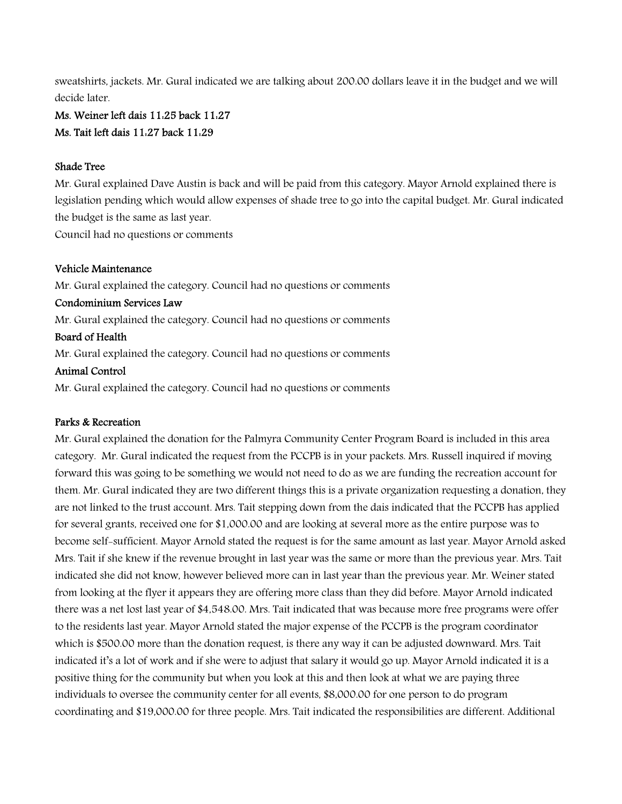sweatshirts, jackets. Mr. Gural indicated we are talking about 200.00 dollars leave it in the budget and we will decide later.

## Ms. Weiner left dais 11:25 back 11:27 Ms. Tait left dais 11:27 back 11:29

#### Shade Tree

Mr. Gural explained Dave Austin is back and will be paid from this category. Mayor Arnold explained there is legislation pending which would allow expenses of shade tree to go into the capital budget. Mr. Gural indicated the budget is the same as last year.

Council had no questions or comments

#### Vehicle Maintenance

Mr. Gural explained the category. Council had no questions or comments Condominium Services Law Mr. Gural explained the category. Council had no questions or comments Board of Health Mr. Gural explained the category. Council had no questions or comments Animal Control

Mr. Gural explained the category. Council had no questions or comments

## Parks & Recreation

Mr. Gural explained the donation for the Palmyra Community Center Program Board is included in this area category. Mr. Gural indicated the request from the PCCPB is in your packets. Mrs. Russell inquired if moving forward this was going to be something we would not need to do as we are funding the recreation account for them. Mr. Gural indicated they are two different things this is a private organization requesting a donation, they are not linked to the trust account. Mrs. Tait stepping down from the dais indicated that the PCCPB has applied for several grants, received one for \$1,000.00 and are looking at several more as the entire purpose was to become self-sufficient. Mayor Arnold stated the request is for the same amount as last year. Mayor Arnold asked Mrs. Tait if she knew if the revenue brought in last year was the same or more than the previous year. Mrs. Tait indicated she did not know, however believed more can in last year than the previous year. Mr. Weiner stated from looking at the flyer it appears they are offering more class than they did before. Mayor Arnold indicated there was a net lost last year of \$4,548.00. Mrs. Tait indicated that was because more free programs were offer to the residents last year. Mayor Arnold stated the major expense of the PCCPB is the program coordinator which is \$500.00 more than the donation request, is there any way it can be adjusted downward. Mrs. Tait indicated it's a lot of work and if she were to adjust that salary it would go up. Mayor Arnold indicated it is a positive thing for the community but when you look at this and then look at what we are paying three individuals to oversee the community center for all events, \$8,000.00 for one person to do program coordinating and \$19,000.00 for three people. Mrs. Tait indicated the responsibilities are different. Additional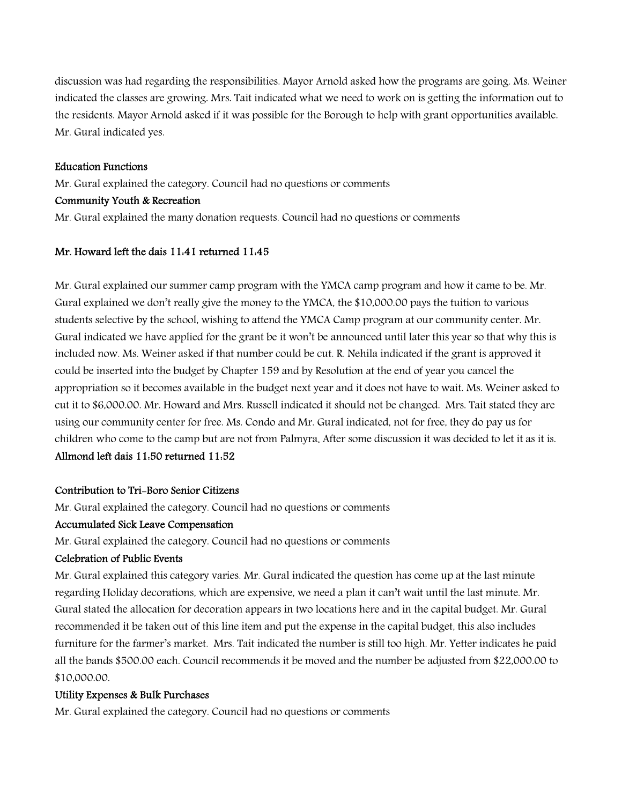discussion was had regarding the responsibilities. Mayor Arnold asked how the programs are going. Ms. Weiner indicated the classes are growing. Mrs. Tait indicated what we need to work on is getting the information out to the residents. Mayor Arnold asked if it was possible for the Borough to help with grant opportunities available. Mr. Gural indicated yes.

#### Education Functions

Mr. Gural explained the category. Council had no questions or comments

## Community Youth & Recreation

Mr. Gural explained the many donation requests. Council had no questions or comments

## Mr. Howard left the dais 11:41 returned 11:45

Mr. Gural explained our summer camp program with the YMCA camp program and how it came to be. Mr. Gural explained we don't really give the money to the YMCA, the \$10,000.00 pays the tuition to various students selective by the school, wishing to attend the YMCA Camp program at our community center. Mr. Gural indicated we have applied for the grant be it won't be announced until later this year so that why this is included now. Ms. Weiner asked if that number could be cut. R. Nehila indicated if the grant is approved it could be inserted into the budget by Chapter 159 and by Resolution at the end of year you cancel the appropriation so it becomes available in the budget next year and it does not have to wait. Ms. Weiner asked to cut it to \$6,000.00. Mr. Howard and Mrs. Russell indicated it should not be changed. Mrs. Tait stated they are using our community center for free. Ms. Condo and Mr. Gural indicated, not for free, they do pay us for children who come to the camp but are not from Palmyra. After some discussion it was decided to let it as it is. Allmond left dais 11:50 returned 11:52

# Contribution to Tri-Boro Senior Citizens

Mr. Gural explained the category. Council had no questions or comments

## Accumulated Sick Leave Compensation

Mr. Gural explained the category. Council had no questions or comments

## Celebration of Public Events

Mr. Gural explained this category varies. Mr. Gural indicated the question has come up at the last minute regarding Holiday decorations, which are expensive, we need a plan it can't wait until the last minute. Mr. Gural stated the allocation for decoration appears in two locations here and in the capital budget. Mr. Gural recommended it be taken out of this line item and put the expense in the capital budget, this also includes furniture for the farmer's market. Mrs. Tait indicated the number is still too high. Mr. Yetter indicates he paid all the bands \$500.00 each. Council recommends it be moved and the number be adjusted from \$22,000.00 to \$10,000.00.

## Utility Expenses & Bulk Purchases

Mr. Gural explained the category. Council had no questions or comments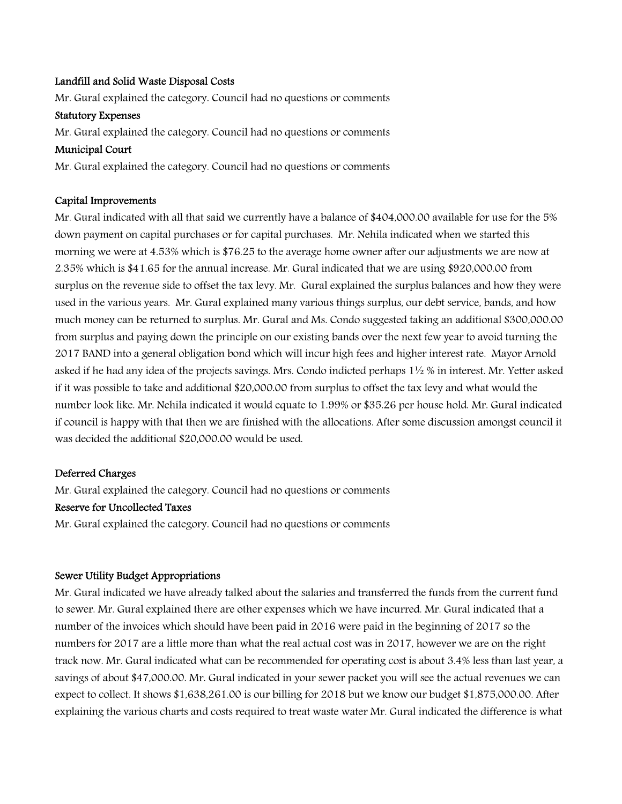#### Landfill and Solid Waste Disposal Costs

Mr. Gural explained the category. Council had no questions or comments

#### Statutory Expenses

Mr. Gural explained the category. Council had no questions or comments

#### Municipal Court

Mr. Gural explained the category. Council had no questions or comments

#### Capital Improvements

Mr. Gural indicated with all that said we currently have a balance of \$404,000.00 available for use for the 5% down payment on capital purchases or for capital purchases. Mr. Nehila indicated when we started this morning we were at 4.53% which is \$76.25 to the average home owner after our adjustments we are now at 2.35% which is \$41.65 for the annual increase. Mr. Gural indicated that we are using \$920,000.00 from surplus on the revenue side to offset the tax levy. Mr. Gural explained the surplus balances and how they were used in the various years. Mr. Gural explained many various things surplus, our debt service, bands, and how much money can be returned to surplus. Mr. Gural and Ms. Condo suggested taking an additional \$300,000.00 from surplus and paying down the principle on our existing bands over the next few year to avoid turning the 2017 BAND into a general obligation bond which will incur high fees and higher interest rate. Mayor Arnold asked if he had any idea of the projects savings. Mrs. Condo indicted perhaps 1½ % in interest. Mr. Yetter asked if it was possible to take and additional \$20,000.00 from surplus to offset the tax levy and what would the number look like. Mr. Nehila indicated it would equate to 1.99% or \$35.26 per house hold. Mr. Gural indicated if council is happy with that then we are finished with the allocations. After some discussion amongst council it was decided the additional \$20,000.00 would be used.

## Deferred Charges

Mr. Gural explained the category. Council had no questions or comments

## Reserve for Uncollected Taxes

Mr. Gural explained the category. Council had no questions or comments

## Sewer Utility Budget Appropriations

Mr. Gural indicated we have already talked about the salaries and transferred the funds from the current fund to sewer. Mr. Gural explained there are other expenses which we have incurred. Mr. Gural indicated that a number of the invoices which should have been paid in 2016 were paid in the beginning of 2017 so the numbers for 2017 are a little more than what the real actual cost was in 2017, however we are on the right track now. Mr. Gural indicated what can be recommended for operating cost is about 3.4% less than last year, a savings of about \$47,000.00. Mr. Gural indicated in your sewer packet you will see the actual revenues we can expect to collect. It shows \$1,638,261.00 is our billing for 2018 but we know our budget \$1,875,000.00. After explaining the various charts and costs required to treat waste water Mr. Gural indicated the difference is what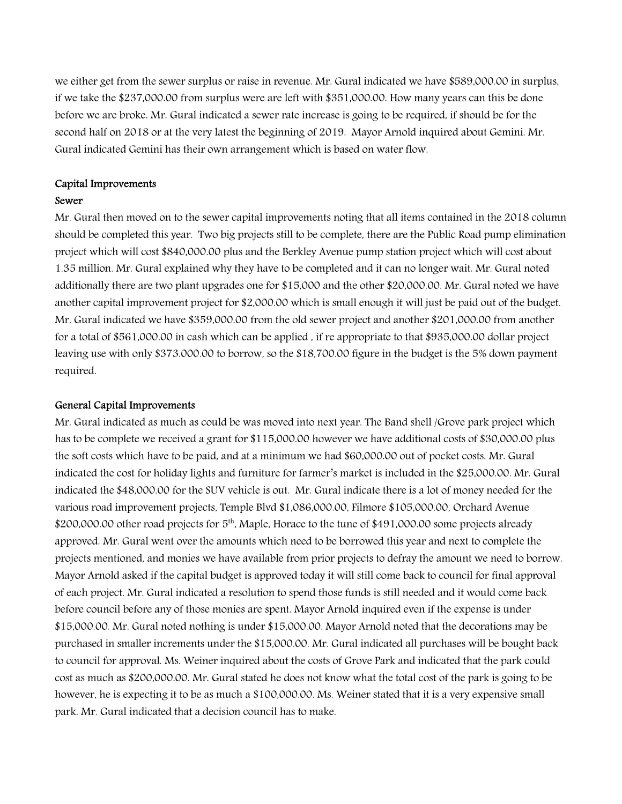we either get from the sewer surplus or raise in revenue. Mr. Gural indicated we have \$589,000.00 in surplus, if we take the \$237,000.00 from surplus were are left with \$351,000.00. How many years can this be done before we are broke. Mr. Gural indicated a sewer rate increase is going to be required, if should be for the second half on 2018 or at the very latest the beginning of 2019. Mayor Arnold inquired about Gemini. Mr. Gural indicated Gemini has their own arrangement which is based on water flow.

#### Capital Improvements

#### Sewer

Mr. Gural then moved on to the sewer capital improvements noting that all items contained in the 2018 column should be completed this year. Two big projects still to be complete, there are the Public Road pump elimination project which will cost \$840,000.00 plus and the Berkley Avenue pump station project which will cost about 1.35 million. Mr. Gural explained why they have to be completed and it can no longer wait. Mr. Gural noted additionally there are two plant upgrades one for \$15,000 and the other \$20,000.00. Mr. Gural noted we have another capital improvement project for \$2,000.00 which is small enough it will just be paid out of the budget. Mr. Gural indicated we have \$359,000.00 from the old sewer project and another \$201,000.00 from another for a total of \$561,000.00 in cash which can be applied , if re appropriate to that \$935,000.00 dollar project leaving use with only \$373.000.00 to borrow, so the \$18,700.00 figure in the budget is the 5% down payment required.

#### General Capital Improvements

Mr. Gural indicated as much as could be was moved into next year. The Band shell /Grove park project which has to be complete we received a grant for \$115,000.00 however we have additional costs of \$30,000.00 plus the soft costs which have to be paid, and at a minimum we had \$60,000.00 out of pocket costs. Mr. Gural indicated the cost for holiday lights and furniture for farmer's market is included in the \$25,000.00. Mr. Gural indicated the \$48,000.00 for the SUV vehicle is out. Mr. Gural indicate there is a lot of money needed for the various road improvement projects, Temple Blvd \$1,086,000.00, Filmore \$105,000.00, Orchard Avenue \$200,000.00 other road projects for 5<sup>th</sup>, Maple, Horace to the tune of \$491,000.00 some projects already approved. Mr. Gural went over the amounts which need to be borrowed this year and next to complete the projects mentioned, and monies we have available from prior projects to defray the amount we need to borrow. Mayor Arnold asked if the capital budget is approved today it will still come back to council for final approval of each project. Mr. Gural indicated a resolution to spend those funds is still needed and it would come back before council before any of those monies are spent. Mayor Arnold inquired even if the expense is under \$15,000.00. Mr. Gural noted nothing is under \$15,000.00. Mayor Arnold noted that the decorations may be purchased in smaller increments under the \$15,000.00. Mr. Gural indicated all purchases will be bought back to council for approval. Ms. Weiner inquired about the costs of Grove Park and indicated that the park could cost as much as \$200,000.00. Mr. Gural stated he does not know what the total cost of the park is going to be however, he is expecting it to be as much a \$100,000.00. Ms. Weiner stated that it is a very expensive small park. Mr. Gural indicated that a decision council has to make.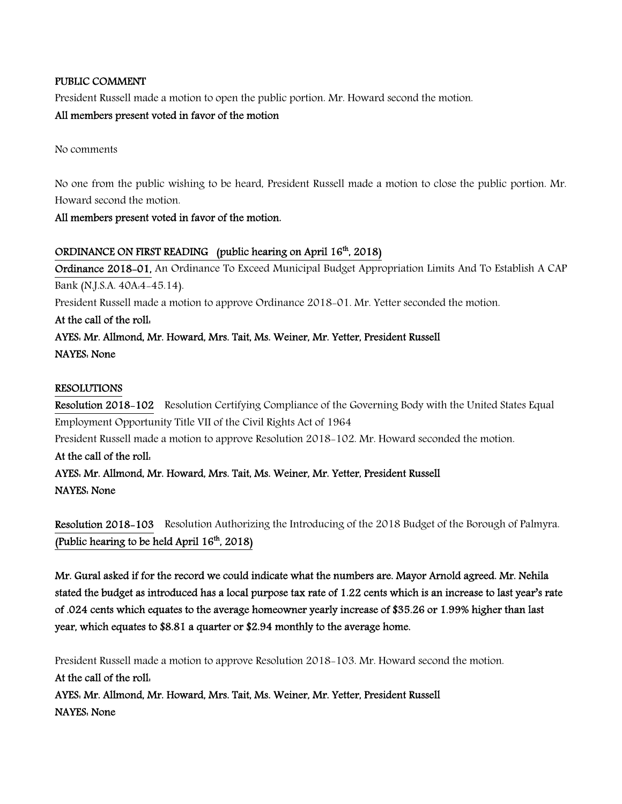## PUBLIC COMMENT

President Russell made a motion to open the public portion. Mr. Howard second the motion.

## All members present voted in favor of the motion

No comments

No one from the public wishing to be heard, President Russell made a motion to close the public portion. Mr. Howard second the motion.

## All members present voted in favor of the motion.

## ORDINANCE ON FIRST READING (public hearing on April 16<sup>th</sup>, 2018)

Ordinance 2018-01, An Ordinance To Exceed Municipal Budget Appropriation Limits And To Establish A CAP Bank (N.J.S.A. 40A:4-45.14). President Russell made a motion to approve Ordinance 2018-01. Mr. Yetter seconded the motion. At the call of the roll: AYES: Mr. Allmond, Mr. Howard, Mrs. Tait, Ms. Weiner, Mr. Yetter, President Russell NAYES: None RESOLUTIONS

Resolution 2018-102 Resolution Certifying Compliance of the Governing Body with the United States Equal Employment Opportunity Title VII of the Civil Rights Act of 1964 President Russell made a motion to approve Resolution 2018-102. Mr. Howard seconded the motion.

# At the call of the roll:

AYES: Mr. Allmond, Mr. Howard, Mrs. Tait, Ms. Weiner, Mr. Yetter, President Russell NAYES: None

Resolution 2018-103 Resolution Authorizing the Introducing of the 2018 Budget of the Borough of Palmyra. (Public hearing to be held April  $16<sup>th</sup>$ , 2018)

Mr. Gural asked if for the record we could indicate what the numbers are. Mayor Arnold agreed. Mr. Nehila stated the budget as introduced has a local purpose tax rate of 1.22 cents which is an increase to last year's rate of .024 cents which equates to the average homeowner yearly increase of \$35.26 or 1.99% higher than last year, which equates to \$8.81 a quarter or \$2.94 monthly to the average home.

President Russell made a motion to approve Resolution 2018-103. Mr. Howard second the motion. At the call of the roll: AYES: Mr. Allmond, Mr. Howard, Mrs. Tait, Ms. Weiner, Mr. Yetter, President Russell NAYES: None